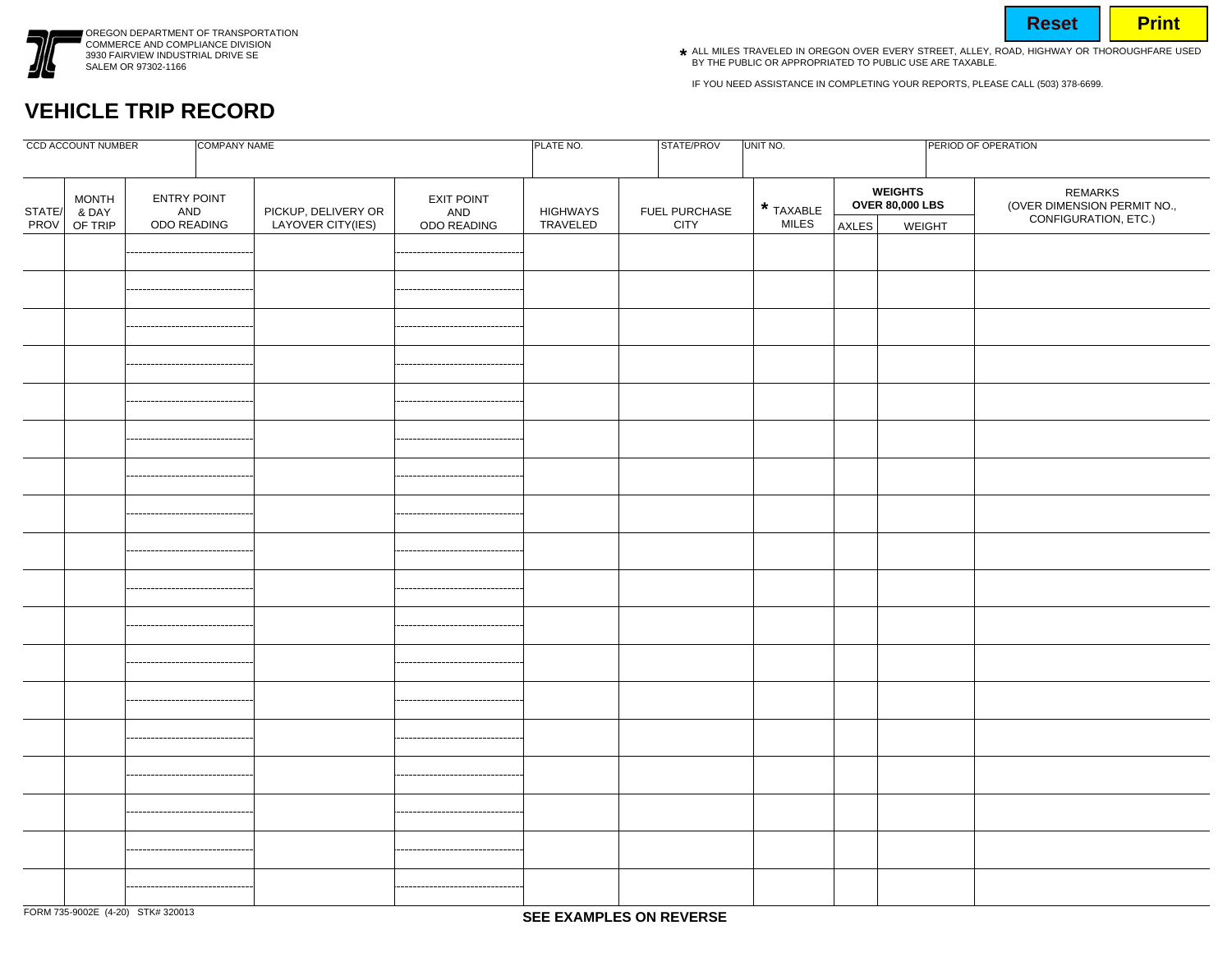

OREGON DEPARTMENT OF TRANSPORTATION COMMERCE AND COMPLIANCE DIVISION 3930 FAIRVIEW INDUSTRIAL DRIVE SE SALEM OR 97302-1166

- **Reset | Print**
- ALL MILES TRAVELED IN OREGON OVER EVERY STREET, ALLEY, ROAD, HIGHWAY OR THOROUGHFARE USED **\***BY THE PUBLIC OR APPROPRIATED TO PUBLIC USE ARE TAXABLE.

IF YOU NEED ASSISTANCE IN COMPLETING YOUR REPORTS, PLEASE CALL (503) 378-6699.

## **VEHICLE TRIP RECORD**

| COMPANY NAME<br><b>CCD ACCOUNT NUMBER</b> |                       |                                   |                                          |                                  | STATE/PROV                  | UNIT NO.              |                           | PERIOD OF OPERATION |                            |                                                                |
|-------------------------------------------|-----------------------|-----------------------------------|------------------------------------------|----------------------------------|-----------------------------|-----------------------|---------------------------|---------------------|----------------------------|----------------------------------------------------------------|
| STATE/                                    | <b>MONTH</b><br>& DAY | ENTRY POINT<br>AND<br>ODO READING |                                          | EXIT POINT<br>AND<br>ODO READING | <b>HIGHWAYS</b><br>TRAVELED | FUEL PURCHASE<br>CITY | * TAXABLE<br><b>MILES</b> |                     | WEIGHTS<br>OVER 80,000 LBS | REMARKS<br>(OVER DIMENSION PERMIT NO.,<br>CONFIGURATION, ETC.) |
| PROV                                      | OF TRIP               |                                   | PICKUP, DELIVERY OR<br>LAYOVER CITY(IES) |                                  |                             |                       |                           | AXLES               | WEIGHT                     |                                                                |
|                                           |                       |                                   |                                          |                                  |                             |                       |                           |                     |                            |                                                                |
|                                           |                       |                                   |                                          |                                  |                             |                       |                           |                     |                            |                                                                |
|                                           |                       |                                   |                                          |                                  |                             |                       |                           |                     |                            |                                                                |
|                                           |                       |                                   |                                          |                                  |                             |                       |                           |                     |                            |                                                                |
|                                           |                       |                                   |                                          |                                  |                             |                       |                           |                     |                            |                                                                |
|                                           |                       |                                   |                                          |                                  |                             |                       |                           |                     |                            |                                                                |
|                                           |                       |                                   |                                          |                                  |                             |                       |                           |                     |                            |                                                                |
|                                           |                       |                                   |                                          |                                  |                             |                       |                           |                     |                            |                                                                |
|                                           |                       |                                   |                                          |                                  |                             |                       |                           |                     |                            |                                                                |
|                                           |                       |                                   |                                          |                                  |                             |                       |                           |                     |                            |                                                                |
|                                           |                       |                                   |                                          |                                  |                             |                       |                           |                     |                            |                                                                |
|                                           |                       |                                   |                                          |                                  |                             |                       |                           |                     |                            |                                                                |
|                                           |                       |                                   |                                          |                                  |                             |                       |                           |                     |                            |                                                                |
|                                           |                       |                                   |                                          |                                  |                             |                       |                           |                     |                            |                                                                |
|                                           |                       |                                   |                                          |                                  |                             |                       |                           |                     |                            |                                                                |
|                                           |                       |                                   |                                          |                                  |                             |                       |                           |                     |                            |                                                                |
|                                           |                       |                                   |                                          |                                  |                             |                       |                           |                     |                            |                                                                |
|                                           |                       |                                   |                                          |                                  |                             |                       |                           |                     |                            |                                                                |